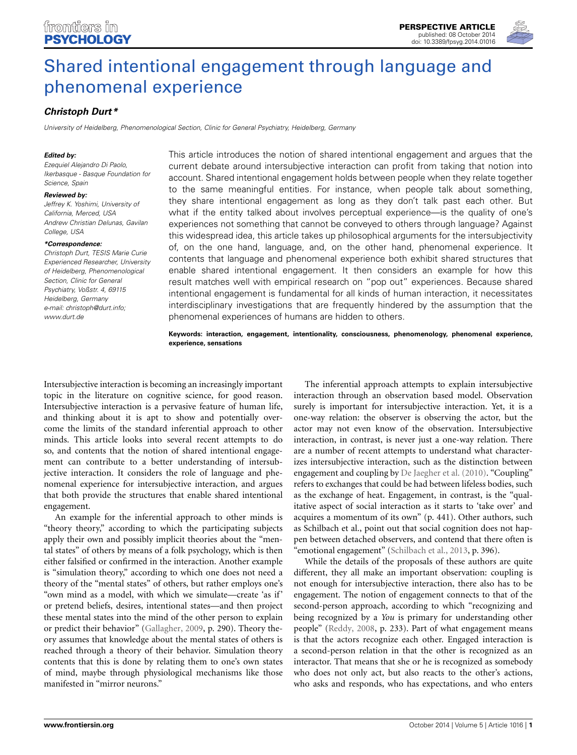# [Shared intentional engagement through language and](http://www.frontiersin.org/journal/10.3389/fpsyg.2014.01016/abstract) phenomenal experience

## *[Christoph Durt\\*](http://community.frontiersin.org/people/u/132529)*

*University of Heidelberg, Phenomenological Section, Clinic for General Psychiatry, Heidelberg, Germany*

#### *Edited by:*

*Ezequiel Alejandro Di Paolo, Ikerbasque - Basque Foundation for Science, Spain*

#### *Reviewed by:*

*Jeffrey K. Yoshimi, University of California, Merced, USA Andrew Christian Delunas, Gavilan College, USA*

#### *\*Correspondence:*

*Christoph Durt, TESIS Marie Curie Experienced Researcher, University of Heidelberg, Phenomenological Section, Clinic for General Psychiatry, Voßstr. 4, 69115 Heidelberg, Germany e-mail: [christoph@durt.info;](mailto:christoph@durt.info) [www.durt.de](http://www.durt.de)*

This article introduces the notion of shared intentional engagement and argues that the current debate around intersubjective interaction can profit from taking that notion into account. Shared intentional engagement holds between people when they relate together to the same meaningful entities. For instance, when people talk about something, they share intentional engagement as long as they don't talk past each other. But what if the entity talked about involves perceptual experience—is the quality of one's experiences not something that cannot be conveyed to others through language? Against this widespread idea, this article takes up philosophical arguments for the intersubjectivity of, on the one hand, language, and, on the other hand, phenomenal experience. It contents that language and phenomenal experience both exhibit shared structures that enable shared intentional engagement. It then considers an example for how this result matches well with empirical research on "pop out" experiences. Because shared intentional engagement is fundamental for all kinds of human interaction, it necessitates interdisciplinary investigations that are frequently hindered by the assumption that the phenomenal experiences of humans are hidden to others.

**Keywords: interaction, engagement, intentionality, consciousness, phenomenology, phenomenal experience, experience, sensations**

Intersubjective interaction is becoming an increasingly important topic in the literature on cognitive science, for good reason. Intersubjective interaction is a pervasive feature of human life, and thinking about it is apt to show and potentially overcome the limits of the standard inferential approach to other minds. This article looks into several recent attempts to do so, and contents that the notion of shared intentional engagement can contribute to a better understanding of intersubjective interaction. It considers the role of language and phenomenal experience for intersubjective interaction, and argues that both provide the structures that enable shared intentional engagement.

An example for the inferential approach to other minds is "theory theory," according to which the participating subjects apply their own and possibly implicit theories about the "mental states" of others by means of a folk psychology, which is then either falsified or confirmed in the interaction. Another example is "simulation theory," according to which one does not need a theory of the "mental states" of others, but rather employs one's "own mind as a model, with which we simulate—create 'as if' or pretend beliefs, desires, intentional states—and then project these mental states into the mind of the other person to explain or predict their behavior" [\(Gallagher](#page-3-0), [2009,](#page-3-0) p. 290). Theory theory assumes that knowledge about the mental states of others is reached through a theory of their behavior. Simulation theory contents that this is done by relating them to one's own states of mind, maybe through physiological mechanisms like those manifested in "mirror neurons."

The inferential approach attempts to explain intersubjective interaction through an observation based model. Observation surely is important for intersubjective interaction. Yet, it is a one-way relation: the observer is observing the actor, but the actor may not even know of the observation. Intersubjective interaction, in contrast, is never just a one-way relation. There are a number of recent attempts to understand what characterizes intersubjective interaction, such as the distinction between engagement and coupling by [De Jaegher et al.](#page-3-1) [\(2010](#page-3-1)). "Coupling" refers to exchanges that could be had between lifeless bodies, such as the exchange of heat. Engagement, in contrast, is the "qualitative aspect of social interaction as it starts to 'take over' and acquires a momentum of its own" (p. 441). Other authors, such as Schilbach et al., point out that social cognition does not happen between detached observers, and contend that there often is "emotional engagement" [\(Schilbach et al., 2013,](#page-3-2) p. 396).

While the details of the proposals of these authors are quite different, they all make an important observation: coupling is not enough for intersubjective interaction, there also has to be engagement. The notion of engagement connects to that of the second-person approach, according to which "recognizing and being recognized by a *You* is primary for understanding other people" [\(Reddy, 2008,](#page-3-3) p. 233). Part of what engagement means is that the actors recognize each other. Engaged interaction is a second-person relation in that the other is recognized as an interactor. That means that she or he is recognized as somebody who does not only act, but also reacts to the other's actions, who asks and responds, who has expectations, and who enters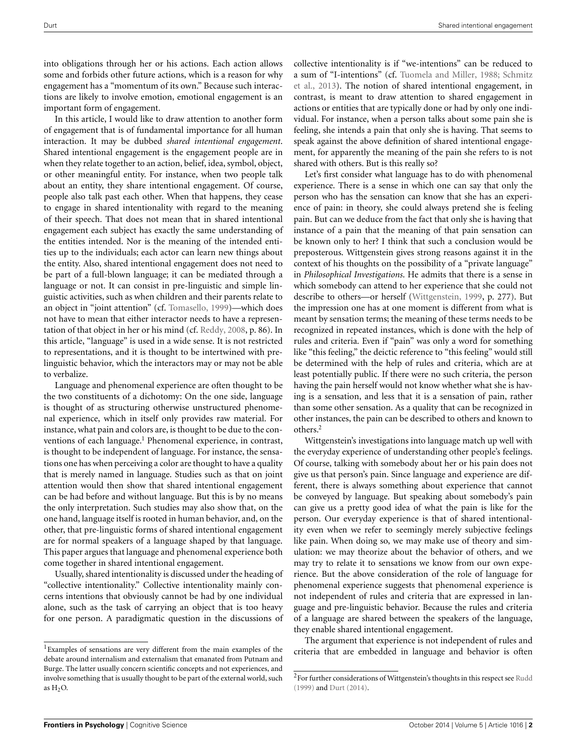into obligations through her or his actions. Each action allows some and forbids other future actions, which is a reason for why engagement has a "momentum of its own." Because such interactions are likely to involve emotion, emotional engagement is an important form of engagement.

In this article, I would like to draw attention to another form of engagement that is of fundamental importance for all human interaction. It may be dubbed *shared intentional engagement*. Shared intentional engagement is the engagement people are in when they relate together to an action, belief, idea, symbol, object, or other meaningful entity. For instance, when two people talk about an entity, they share intentional engagement. Of course, people also talk past each other. When that happens, they cease to engage in shared intentionality with regard to the meaning of their speech. That does not mean that in shared intentional engagement each subject has exactly the same understanding of the entities intended. Nor is the meaning of the intended entities up to the individuals; each actor can learn new things about the entity. Also, shared intentional engagement does not need to be part of a full-blown language; it can be mediated through a language or not. It can consist in pre-linguistic and simple linguistic activities, such as when children and their parents relate to an object in "joint attention" (cf. [Tomasello, 1999\)](#page-3-4)—which does not have to mean that either interactor needs to have a representation of that object in her or his mind (cf. [Reddy, 2008](#page-3-3), p. 86). In this article, "language" is used in a wide sense. It is not restricted to representations, and it is thought to be intertwined with prelinguistic behavior, which the interactors may or may not be able to verbalize.

Language and phenomenal experience are often thought to be the two constituents of a dichotomy: On the one side, language is thought of as structuring otherwise unstructured phenomenal experience, which in itself only provides raw material. For instance, what pain and colors are, is thought to be due to the conventions of each language.<sup>1</sup> Phenomenal experience, in contrast, is thought to be independent of language. For instance, the sensations one has when perceiving a color are thought to have a quality that is merely named in language. Studies such as that on joint attention would then show that shared intentional engagement can be had before and without language. But this is by no means the only interpretation. Such studies may also show that, on the one hand, language itself is rooted in human behavior, and, on the other, that pre-linguistic forms of shared intentional engagement are for normal speakers of a language shaped by that language. This paper argues that language and phenomenal experience both come together in shared intentional engagement.

Usually, shared intentionality is discussed under the heading of "collective intentionality." Collective intentionality mainly concerns intentions that obviously cannot be had by one individual alone, such as the task of carrying an object that is too heavy for one person. A paradigmatic question in the discussions of collective intentionality is if "we-intentions" can be reduced to a sum of "I-intentions" (cf. [Tuomela and Miller](#page-3-5)[,](#page-3-6) [1988;](#page-3-5) Schmitz et al., [2013\)](#page-3-6). The notion of shared intentional engagement, in contrast, is meant to draw attention to shared engagement in actions or entities that are typically done or had by only one individual. For instance, when a person talks about some pain she is feeling, she intends a pain that only she is having. That seems to speak against the above definition of shared intentional engagement, for apparently the meaning of the pain she refers to is not shared with others. But is this really so?

Let's first consider what language has to do with phenomenal experience. There is a sense in which one can say that only the person who has the sensation can know that she has an experience of pain: in theory, she could always pretend she is feeling pain. But can we deduce from the fact that only she is having that instance of a pain that the meaning of that pain sensation can be known only to her? I think that such a conclusion would be preposterous. Wittgenstein gives strong reasons against it in the context of his thoughts on the possibility of a "private language" in *Philosophical Investigations*. He admits that there is a sense in which somebody can attend to her experience that she could not describe to others—or herself [\(Wittgenstein, 1999,](#page-3-7) p. 277). But the impression one has at one moment is different from what is meant by sensation terms; the meaning of these terms needs to be recognized in repeated instances, which is done with the help of rules and criteria. Even if "pain" was only a word for something like "this feeling," the deictic reference to "this feeling" would still be determined with the help of rules and criteria, which are at least potentially public. If there were no such criteria, the person having the pain herself would not know whether what she is having is a sensation, and less that it is a sensation of pain, rather than some other sensation. As a quality that can be recognized in other instances, the pain can be described to others and known to others[.2](#page-1-0)

<span id="page-1-0"></span>Wittgenstein's investigations into language match up well with the everyday experience of understanding other people's feelings. Of course, talking with somebody about her or his pain does not give us that person's pain. Since language and experience are different, there is always something about experience that cannot be conveyed by language. But speaking about somebody's pain can give us a pretty good idea of what the pain is like for the person. Our everyday experience is that of shared intentionality even when we refer to seemingly merely subjective feelings like pain. When doing so, we may make use of theory and simulation: we may theorize about the behavior of others, and we may try to relate it to sensations we know from our own experience. But the above consideration of the role of language for phenomenal experience suggests that phenomenal experience is not independent of rules and criteria that are expressed in language and pre-linguistic behavior. Because the rules and criteria of a language are shared between the speakers of the language, they enable shared intentional engagement.

The argument that experience is not independent of rules and criteria that are embedded in language and behavior is often

<sup>1</sup>Examples of sensations are very different from the main examples of the debate around internalism and externalism that emanated from Putnam and Burge. The latter usually concern scientific concepts and not experiences, and involve something that is usually thought to be part of the external world, such as  $H<sub>2</sub>O$ .

 $^2\!$  For further considerations of Wittgenstein's thoughts in this respect see <code>[Rudd](#page-3-8)</code> [\(1999](#page-3-8)) and [Durt](#page-3-9) [\(2014](#page-3-9)).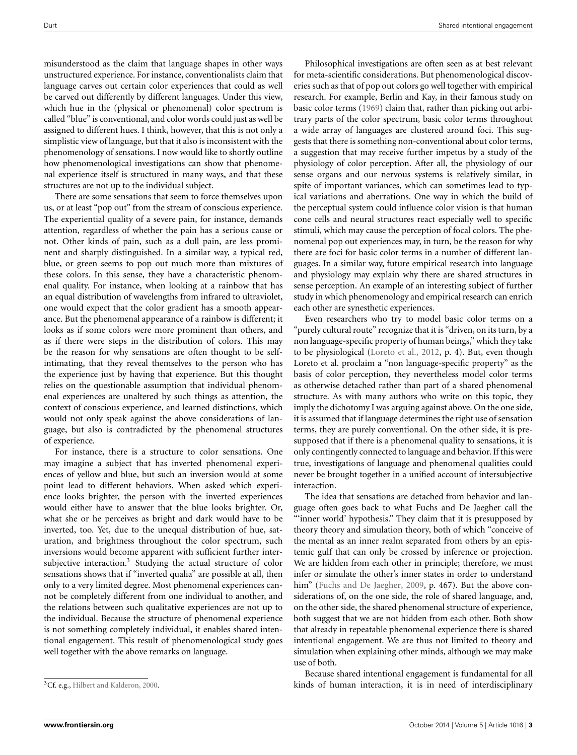misunderstood as the claim that language shapes in other ways unstructured experience. For instance, conventionalists claim that language carves out certain color experiences that could as well be carved out differently by different languages. Under this view, which hue in the (physical or phenomenal) color spectrum is called "blue" is conventional, and color words could just as well be assigned to different hues. I think, however, that this is not only a simplistic view of language, but that it also is inconsistent with the phenomenology of sensations. I now would like to shortly outline how phenomenological investigations can show that phenomenal experience itself is structured in many ways, and that these structures are not up to the individual subject.

There are some sensations that seem to force themselves upon us, or at least "pop out" from the stream of conscious experience. The experiential quality of a severe pain, for instance, demands attention, regardless of whether the pain has a serious cause or not. Other kinds of pain, such as a dull pain, are less prominent and sharply distinguished. In a similar way, a typical red, blue, or green seems to pop out much more than mixtures of these colors. In this sense, they have a characteristic phenomenal quality. For instance, when looking at a rainbow that has an equal distribution of wavelengths from infrared to ultraviolet, one would expect that the color gradient has a smooth appearance. But the phenomenal appearance of a rainbow is different; it looks as if some colors were more prominent than others, and as if there were steps in the distribution of colors. This may be the reason for why sensations are often thought to be selfintimating, that they reveal themselves to the person who has the experience just by having that experience. But this thought relies on the questionable assumption that individual phenomenal experiences are unaltered by such things as attention, the context of conscious experience, and learned distinctions, which would not only speak against the above considerations of language, but also is contradicted by the phenomenal structures of experience.

<span id="page-2-0"></span>For instance, there is a structure to color sensations. One may imagine a subject that has inverted phenomenal experiences of yellow and blue, but such an inversion would at some point lead to different behaviors. When asked which experience looks brighter, the person with the inverted experiences would either have to answer that the blue looks brighter. Or, what she or he perceives as bright and dark would have to be inverted, too. Yet, due to the unequal distribution of hue, saturation, and brightness throughout the color spectrum, such inversions would become apparent with sufficient further intersubjective interaction[.3](#page-2-0) Studying the actual structure of color sensations shows that if "inverted qualia" are possible at all, then only to a very limited degree. Most phenomenal experiences cannot be completely different from one individual to another, and the relations between such qualitative experiences are not up to the individual. Because the structure of phenomenal experience is not something completely individual, it enables shared intentional engagement. This result of phenomenological study goes well together with the above remarks on language.

Philosophical investigations are often seen as at best relevant for meta-scientific considerations. But phenomenological discoveries such as that of pop out colors go well together with empirical research. For example, Berlin and Kay, in their famous study on basic color terms [\(1969\)](#page-3-11) claim that, rather than picking out arbitrary parts of the color spectrum, basic color terms throughout a wide array of languages are clustered around foci. This suggests that there is something non-conventional about color terms, a suggestion that may receive further impetus by a study of the physiology of color perception. After all, the physiology of our sense organs and our nervous systems is relatively similar, in spite of important variances, which can sometimes lead to typical variations and aberrations. One way in which the build of the perceptual system could influence color vision is that human cone cells and neural structures react especially well to specific stimuli, which may cause the perception of focal colors. The phenomenal pop out experiences may, in turn, be the reason for why there are foci for basic color terms in a number of different languages. In a similar way, future empirical research into language and physiology may explain why there are shared structures in sense perception. An example of an interesting subject of further study in which phenomenology and empirical research can enrich each other are synesthetic experiences.

Even researchers who try to model basic color terms on a "purely cultural route" recognize that it is "driven, on its turn, by a non language-specific property of human beings," which they take to be physiological [\(Loreto et al., 2012](#page-3-12), p. 4). But, even though Loreto et al. proclaim a "non language-specific property" as the basis of color perception, they nevertheless model color terms as otherwise detached rather than part of a shared phenomenal structure. As with many authors who write on this topic, they imply the dichotomy I was arguing against above. On the one side, it is assumed that if language determines the right use of sensation terms, they are purely conventional. On the other side, it is presupposed that if there is a phenomenal quality to sensations, it is only contingently connected to language and behavior. If this were true, investigations of language and phenomenal qualities could never be brought together in a unified account of intersubjective interaction.

The idea that sensations are detached from behavior and language often goes back to what Fuchs and De Jaegher call the "'inner world' hypothesis." They claim that it is presupposed by theory theory and simulation theory, both of which "conceive of the mental as an inner realm separated from others by an epistemic gulf that can only be crossed by inference or projection. We are hidden from each other in principle; therefore, we must infer or simulate the other's inner states in order to understand him" [\(Fuchs and De Jaegher, 2009](#page-3-13), p. 467). But the above considerations of, on the one side, the role of shared language, and, on the other side, the shared phenomenal structure of experience, both suggest that we are not hidden from each other. Both show that already in repeatable phenomenal experience there is shared intentional engagement. We are thus not limited to theory and simulation when explaining other minds, although we may make use of both.

Because shared intentional engagement is fundamental for all kinds of human interaction, it is in need of interdisciplinary

<sup>&</sup>lt;sup>3</sup>Cf. e.g., [Hilbert and Kalderon](#page-3-10), [2000.](#page-3-10)